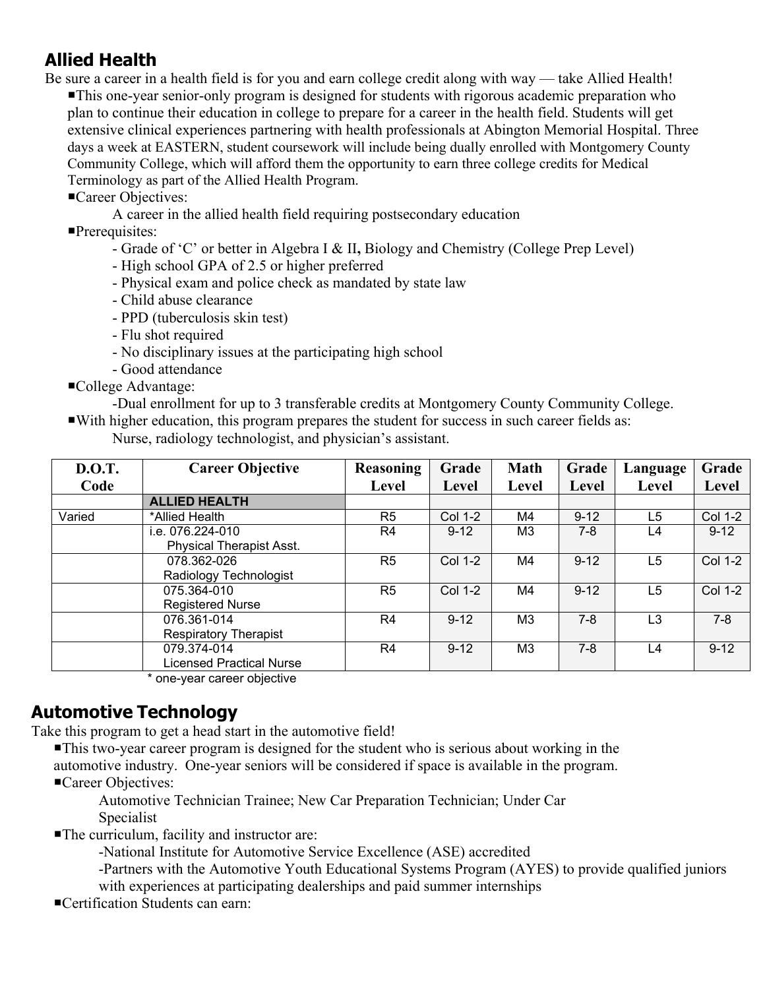# **Allied Health**

Be sure a career in a health field is for you and earn college credit along with way — take Allied Health! This one-year senior-only program is designed for students with rigorous academic preparation who plan to continue their education in college to prepare for a career in the health field. Students will get extensive clinical experiences partnering with health professionals at Abington Memorial Hospital. Three days a week at EASTERN, student coursework will include being dually enrolled with Montgomery County Community College, which will afford them the opportunity to earn three college credits for Medical Terminology as part of the Allied Health Program.

Career Objectives:

A career in the allied health field requiring postsecondary education

Prerequisites:

- Grade of 'C' or better in Algebra I & II**,** Biology and Chemistry (College Prep Level)

- High school GPA of 2.5 or higher preferred

- Physical exam and police check as mandated by state law
- Child abuse clearance
- PPD (tuberculosis skin test)
- Flu shot required
- No disciplinary issues at the participating high school
- Good attendance

■College Advantage:

-Dual enrollment for up to 3 transferable credits at Montgomery County Community College.

With higher education, this program prepares the student for success in such career fields as:

Nurse, radiology technologist, and physician's assistant.

| <b>D.O.T.</b> | <b>Career Objective</b>         | <b>Reasoning</b> | Grade          | <b>Math</b>    | Grade    | Language       | Grade          |
|---------------|---------------------------------|------------------|----------------|----------------|----------|----------------|----------------|
| Code          |                                 | <b>Level</b>     | Level          | <b>Level</b>   | Level    | Level          | Level          |
|               | <b>ALLIED HEALTH</b>            |                  |                |                |          |                |                |
| Varied        | *Allied Health                  | R <sub>5</sub>   | <b>Col 1-2</b> | M4             | $9 - 12$ | L5             | <b>Col 1-2</b> |
|               | i.e. 076.224-010                | R4               | $9 - 12$       | M3             | $7 - 8$  | L4             | $9 - 12$       |
|               | <b>Physical Therapist Asst.</b> |                  |                |                |          |                |                |
|               | 078.362-026                     | R <sub>5</sub>   | Col 1-2        | M4             | $9 - 12$ | L5             | <b>Col 1-2</b> |
|               | Radiology Technologist          |                  |                |                |          |                |                |
|               | 075.364-010                     | R <sub>5</sub>   | <b>Col 1-2</b> | M4             | $9 - 12$ | L <sub>5</sub> | <b>Col 1-2</b> |
|               | <b>Registered Nurse</b>         |                  |                |                |          |                |                |
|               | 076.361-014                     | R4               | $9 - 12$       | M <sub>3</sub> | $7 - 8$  | L <sub>3</sub> | $7 - 8$        |
|               | <b>Respiratory Therapist</b>    |                  |                |                |          |                |                |
|               | 079.374-014                     | R <sub>4</sub>   | $9 - 12$       | M <sub>3</sub> | $7 - 8$  | L4             | $9 - 12$       |
|               | <b>Licensed Practical Nurse</b> |                  |                |                |          |                |                |

\* one-year career objective

#### **Automotive Technology**

Take this program to get a head start in the automotive field!

This two-year career program is designed for the student who is serious about working in the automotive industry. One-year seniors will be considered if space is available in the program. Career Objectives:

 Automotive Technician Trainee; New Car Preparation Technician; Under Car Specialist

The curriculum, facility and instructor are:

-National Institute for Automotive Service Excellence (ASE) accredited

-Partners with the Automotive Youth Educational Systems Program (AYES) to provide qualified juniors

with experiences at participating dealerships and paid summer internships

Certification Students can earn: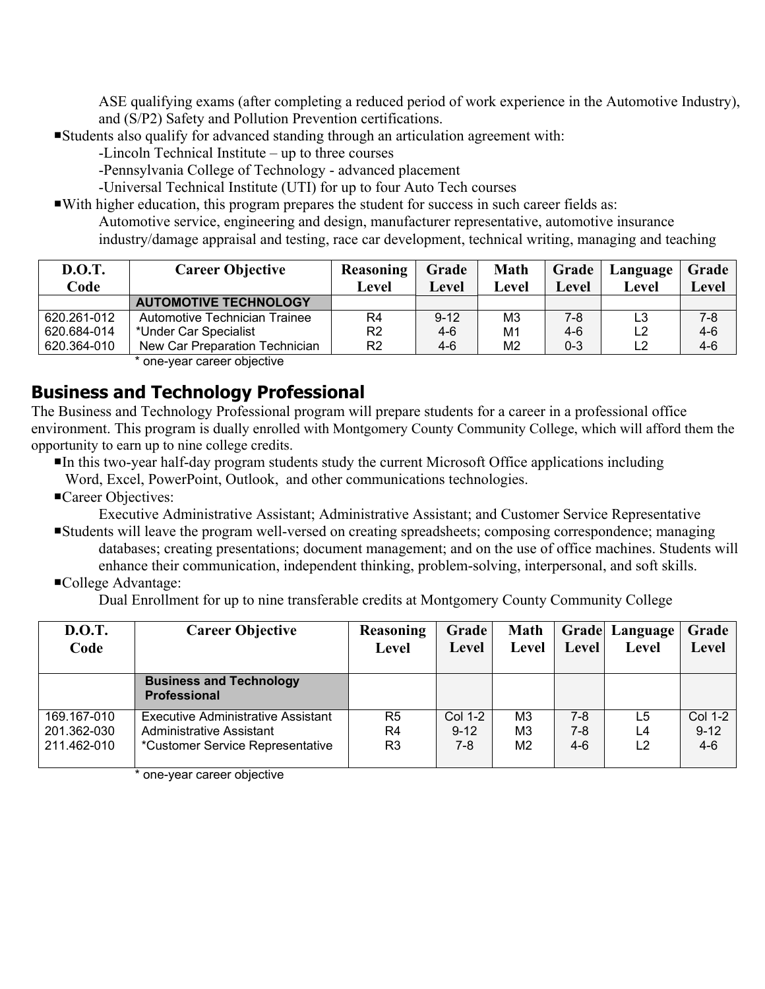ASE qualifying exams (after completing a reduced period of work experience in the Automotive Industry), and (S/P2) Safety and Pollution Prevention certifications.

Students also qualify for advanced standing through an articulation agreement with:

-Lincoln Technical Institute – up to three courses

-Pennsylvania College of Technology - advanced placement

-Universal Technical Institute (UTI) for up to four Auto Tech courses

With higher education, this program prepares the student for success in such career fields as: Automotive service, engineering and design, manufacturer representative, automotive insurance industry/damage appraisal and testing, race car development, technical writing, managing and teaching

| <b>D.O.T.</b><br>Code | <b>Career Objective</b>        | Reasoning<br>Level | Grade<br>Level | <b>Math</b><br>Level | Grade<br>Level | Language<br>Level | Grade<br>Level |
|-----------------------|--------------------------------|--------------------|----------------|----------------------|----------------|-------------------|----------------|
|                       | <b>AUTOMOTIVE TECHNOLOGY</b>   |                    |                |                      |                |                   |                |
| 620.261-012           | Automotive Technician Trainee  | R4                 | $9 - 12$       | M <sub>3</sub>       | 7-8            | L3                | $7-8$          |
| 620.684-014           | *Under Car Specialist          | R <sub>2</sub>     | 4-6            | M <sub>1</sub>       | $4-6$          |                   | $4 - 6$        |
| 620.364-010           | New Car Preparation Technician | R <sub>2</sub>     | 4-6            | M2                   | $0 - 3$        |                   | 4-6            |

\* one-year career objective

#### **Business and Technology Professional**

The Business and Technology Professional program will prepare students for a career in a professional office environment. This program is dually enrolled with Montgomery County Community College, which will afford them the opportunity to earn up to nine college credits.

- In this two-year half-day program students study the current Microsoft Office applications including Word, Excel, PowerPoint, Outlook, and other communications technologies.
- Career Objectives:

Executive Administrative Assistant; Administrative Assistant; and Customer Service Representative

- Students will leave the program well-versed on creating spreadsheets; composing correspondence; managing databases; creating presentations; document management; and on the use of office machines. Students will enhance their communication, independent thinking, problem-solving, interpersonal, and soft skills.
- College Advantage:

Dual Enrollment for up to nine transferable credits at Montgomery County Community College

| D.O.T.<br>Code                            | <b>Career Objective</b>                                                                            | <b>Reasoning</b><br>Level              | Grade<br>Level                      | <b>Math</b><br>Level                               | Level                   | <b>Grade Language</b><br>Level | Grade<br>Level                        |
|-------------------------------------------|----------------------------------------------------------------------------------------------------|----------------------------------------|-------------------------------------|----------------------------------------------------|-------------------------|--------------------------------|---------------------------------------|
|                                           | <b>Business and Technology</b><br><b>Professional</b>                                              |                                        |                                     |                                                    |                         |                                |                                       |
| 169.167-010<br>201.362-030<br>211.462-010 | Executive Administrative Assistant<br>Administrative Assistant<br>*Customer Service Representative | R <sub>5</sub><br>R4<br>R <sub>3</sub> | <b>Col 1-2</b><br>$9 - 12$<br>$7-8$ | M <sub>3</sub><br>M <sub>3</sub><br>M <sub>2</sub> | $7-8$<br>$7-8$<br>$4-6$ | L5<br>L4<br>L <sub>2</sub>     | <b>Col 1-2</b><br>$9 - 12$<br>$4 - 6$ |

\* one-year career objective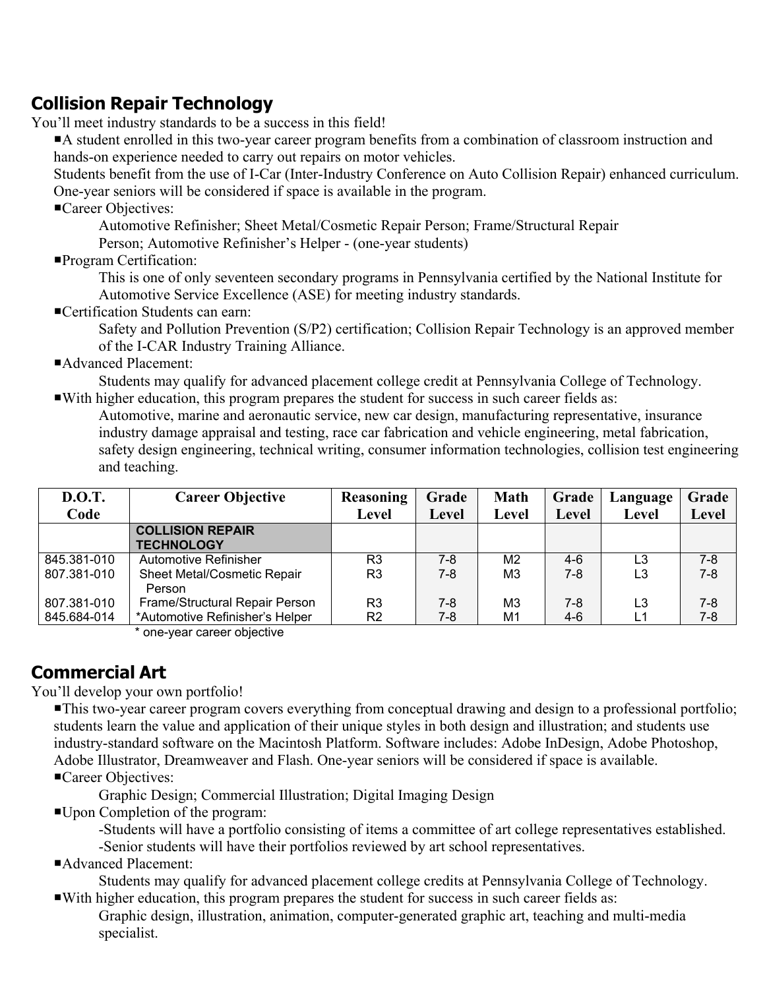## **Collision Repair Technology**

You'll meet industry standards to be a success in this field!

A student enrolled in this two-year career program benefits from a combination of classroom instruction and hands-on experience needed to carry out repairs on motor vehicles.

Students benefit from the use of I-Car (Inter-Industry Conference on Auto Collision Repair) enhanced curriculum. One-year seniors will be considered if space is available in the program.

Career Objectives:

Automotive Refinisher; Sheet Metal/Cosmetic Repair Person; Frame/Structural Repair

Person; Automotive Refinisher's Helper - (one-year students)

Program Certification:

This is one of only seventeen secondary programs in Pennsylvania certified by the National Institute for Automotive Service Excellence (ASE) for meeting industry standards.

Certification Students can earn:

Safety and Pollution Prevention (S/P2) certification; Collision Repair Technology is an approved member of the I-CAR Industry Training Alliance.

Advanced Placement:

Students may qualify for advanced placement college credit at Pennsylvania College of Technology. With higher education, this program prepares the student for success in such career fields as:

Automotive, marine and aeronautic service, new car design, manufacturing representative, insurance industry damage appraisal and testing, race car fabrication and vehicle engineering, metal fabrication, safety design engineering, technical writing, consumer information technologies, collision test engineering and teaching.

| <b>D.O.T.</b> | <b>Career Objective</b>                      | <b>Reasoning</b> | Grade   | <b>Math</b>    | Grade | Language | Grade        |
|---------------|----------------------------------------------|------------------|---------|----------------|-------|----------|--------------|
| Code          |                                              | <b>Level</b>     | Level   | <b>Level</b>   | Level | Level    | <b>Level</b> |
|               | <b>COLLISION REPAIR</b><br><b>TECHNOLOGY</b> |                  |         |                |       |          |              |
| 845.381-010   | Automotive Refinisher                        | R <sub>3</sub>   | $7-8$   | M <sub>2</sub> | $4-6$ | L3       | $7 - 8$      |
| 807.381-010   | <b>Sheet Metal/Cosmetic Repair</b><br>Person | R <sub>3</sub>   | $7 - 8$ | M <sub>3</sub> | $7-8$ | L3       | $7 - 8$      |
| 807.381-010   | Frame/Structural Repair Person               | R3               | $7 - 8$ | M <sub>3</sub> | 7-8   | L3       | 7-8          |
| 845.684-014   | *Automotive Refinisher's Helper              | R <sub>2</sub>   | $7 - 8$ | M1             | $4-6$ | L1       | $7 - 8$      |

\* one-year career objective

## **Commercial Art**

You'll develop your own portfolio!

This two-year career program covers everything from conceptual drawing and design to a professional portfolio; students learn the value and application of their unique styles in both design and illustration; and students use industry-standard software on the Macintosh Platform. Software includes: Adobe InDesign, Adobe Photoshop, Adobe Illustrator, Dreamweaver and Flash. One-year seniors will be considered if space is available.

Career Objectives:

Graphic Design; Commercial Illustration; Digital Imaging Design

Upon Completion of the program:

-Students will have a portfolio consisting of items a committee of art college representatives established. -Senior students will have their portfolios reviewed by art school representatives.

Advanced Placement:

Students may qualify for advanced placement college credits at Pennsylvania College of Technology. With higher education, this program prepares the student for success in such career fields as:

Graphic design, illustration, animation, computer-generated graphic art, teaching and multi-media specialist.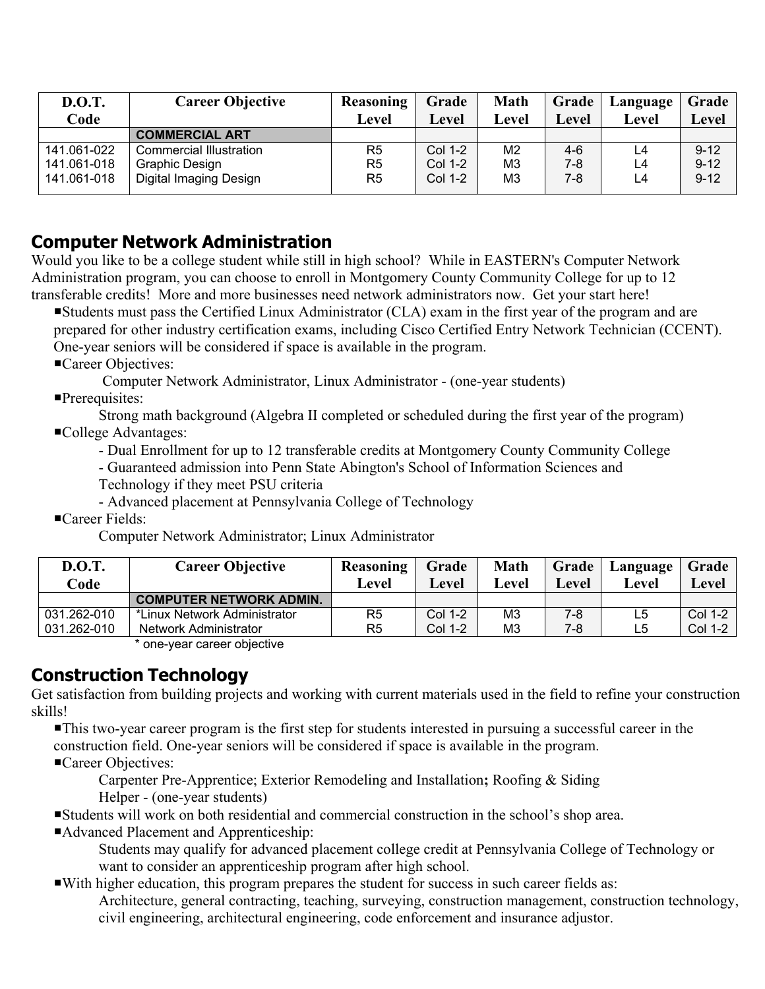| <b>D.O.T.</b><br>Code | <b>Career Objective</b> | <b>Reasoning</b><br>Level | Grade<br>Level | <b>Math</b><br>Level | Grade<br>Level | Language<br>Level | Grade  <br>Level |
|-----------------------|-------------------------|---------------------------|----------------|----------------------|----------------|-------------------|------------------|
|                       | <b>COMMERCIAL ART</b>   |                           |                |                      |                |                   |                  |
| 141.061-022           | Commercial Illustration | R5                        | <b>Col 1-2</b> | M <sub>2</sub>       | $4-6$          | L4                | $9 - 12$         |
| 141.061-018           | Graphic Design          | R5                        | Col 1-2        | M <sub>3</sub>       | 7-8            | L4                | $9 - 12$         |
| 141.061-018           | Digital Imaging Design  | R5                        | Col 1-2        | M <sub>3</sub>       | 7-8            | L4                | $9 - 12$         |

### **Computer Network Administration**

Would you like to be a college student while still in high school? While in EASTERN's Computer Network Administration program, you can choose to enroll in Montgomery County Community College for up to 12 transferable credits! More and more businesses need network administrators now. Get your start here!

Students must pass the Certified Linux Administrator (CLA) exam in the first year of the program and are prepared for other industry certification exams, including Cisco Certified Entry Network Technician (CCENT). One-year seniors will be considered if space is available in the program.

Career Objectives:

Computer Network Administrator, Linux Administrator - (one-year students)

Prerequisites:

Strong math background (Algebra II completed or scheduled during the first year of the program) College Advantages:

- Dual Enrollment for up to 12 transferable credits at Montgomery County Community College

- Guaranteed admission into Penn State Abington's School of Information Sciences and

Technology if they meet PSU criteria

- Advanced placement at Pennsylvania College of Technology
- ■Career Fields:

Computer Network Administrator; Linux Administrator

| <b>D.O.T.</b><br>Code | <b>Career Objective</b>        | Reasoning<br><b>Level</b> | Grade<br><b>Level</b> | <b>Math</b><br>Level | Grade<br>Level | Language<br>Level | Grade<br>Level |
|-----------------------|--------------------------------|---------------------------|-----------------------|----------------------|----------------|-------------------|----------------|
|                       | <b>COMPUTER NETWORK ADMIN.</b> |                           |                       |                      |                |                   |                |
| 031.262-010           | *Linux Network Administrator   | R5                        | Col 1-2               | M <sub>3</sub>       | 7-8            | L5                | Col 1-2        |
| 031.262-010           | Network Administrator          | R5                        | Col 1-2               | M3                   | 7-8            | L5                | Col 1-2        |
|                       |                                |                           |                       |                      |                |                   |                |

one-year career objective

## **Construction Technology**

Get satisfaction from building projects and working with current materials used in the field to refine your construction skills!

This two-year career program is the first step for students interested in pursuing a successful career in the construction field. One-year seniors will be considered if space is available in the program. Career Objectives:

Carpenter Pre-Apprentice; Exterior Remodeling and Installation**;** Roofing & Siding Helper - (one-year students)

Students will work on both residential and commercial construction in the school's shop area.

Advanced Placement and Apprenticeship:

Students may qualify for advanced placement college credit at Pennsylvania College of Technology or want to consider an apprenticeship program after high school.

With higher education, this program prepares the student for success in such career fields as: Architecture, general contracting, teaching, surveying, construction management, construction technology, civil engineering, architectural engineering, code enforcement and insurance adjustor.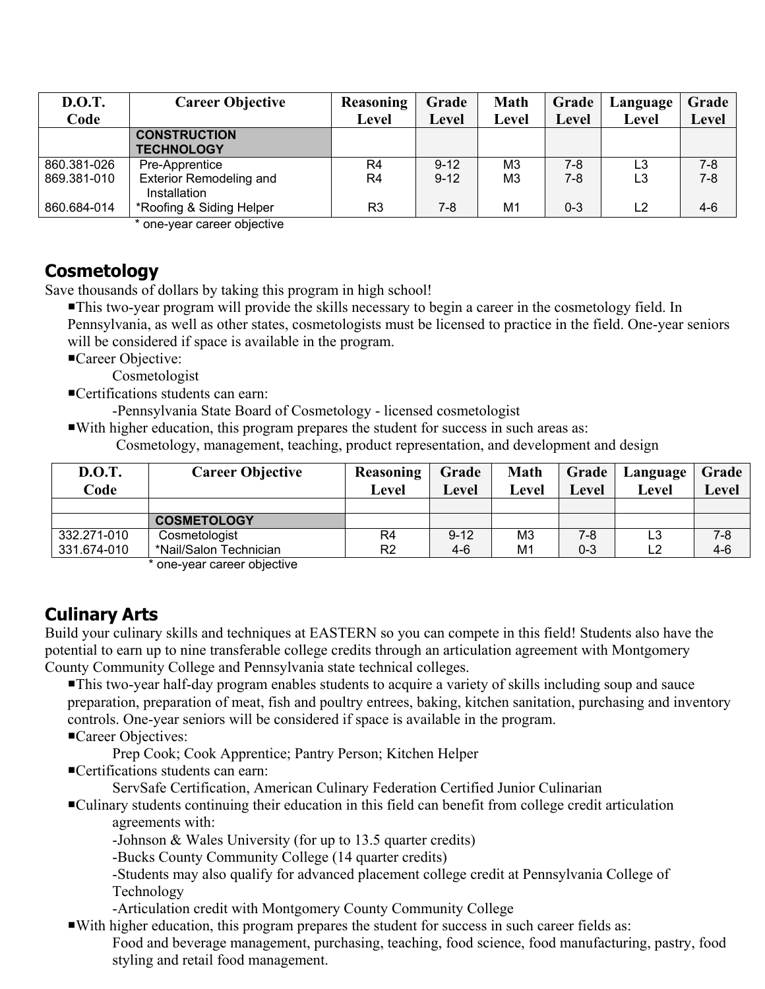| <b>D.O.T.</b> | <b>Career Objective</b>        | <b>Reasoning</b> | Grade        | <b>Math</b>    | Grade   | Language       | Grade   |
|---------------|--------------------------------|------------------|--------------|----------------|---------|----------------|---------|
| Code          |                                | Level            | <b>Level</b> | <b>Level</b>   | Level   | Level          | Level   |
|               | <b>CONSTRUCTION</b>            |                  |              |                |         |                |         |
|               | <b>TECHNOLOGY</b>              |                  |              |                |         |                |         |
| 860.381-026   | Pre-Apprentice                 | R4               | $9 - 12$     | M <sub>3</sub> | 7-8     | L3             | 7-8     |
| 869.381-010   | <b>Exterior Remodeling and</b> | R4               | $9 - 12$     | M <sub>3</sub> | $7 - 8$ | L3             | $7 - 8$ |
|               | Installation                   |                  |              |                |         |                |         |
| 860.684-014   | *Roofing & Siding Helper       | R3               | $7 - 8$      | M <sub>1</sub> | $0 - 3$ | L <sub>2</sub> | 4-6     |

\* one-year career objective

### **Cosmetology**

Save thousands of dollars by taking this program in high school!

This two-year program will provide the skills necessary to begin a career in the cosmetology field. In Pennsylvania, as well as other states, cosmetologists must be licensed to practice in the field. One-year seniors will be considered if space is available in the program.

Career Objective:

Cosmetologist

■Certifications students can earn:

-Pennsylvania State Board of Cosmetology - licensed cosmetologist

 With higher education, this program prepares the student for success in such areas as: Cosmetology, management, teaching, product representation, and development and design

| <b>D.O.T.</b><br>Code | <b>Career Objective</b> | <b>Reasoning</b><br>Level | Grade<br>Level | <b>Math</b><br>Level | Grade<br>Level | Language<br>Level | Grade<br>Level |
|-----------------------|-------------------------|---------------------------|----------------|----------------------|----------------|-------------------|----------------|
|                       |                         |                           |                |                      |                |                   |                |
|                       | <b>COSMETOLOGY</b>      |                           |                |                      |                |                   |                |
| 332.271-010           | Cosmetologist           | R4                        | $9 - 12$       | M <sub>3</sub>       | $7 - 8$        | L3                | $7 - 8$        |
| 331.674-010           | *Nail/Salon Technician  | R <sub>2</sub>            | 4-6            | M1                   | $0 - 3$        |                   | $4-6$          |

\* one-year career objective

# **Culinary Arts**

Build your culinary skills and techniques at EASTERN so you can compete in this field! Students also have the potential to earn up to nine transferable college credits through an articulation agreement with Montgomery County Community College and Pennsylvania state technical colleges.

This two-year half-day program enables students to acquire a variety of skills including soup and sauce preparation, preparation of meat, fish and poultry entrees, baking, kitchen sanitation, purchasing and inventory controls. One-year seniors will be considered if space is available in the program.

Career Objectives:

Prep Cook; Cook Apprentice; Pantry Person; Kitchen Helper

■Certifications students can earn:

ServSafe Certification, American Culinary Federation Certified Junior Culinarian

Culinary students continuing their education in this field can benefit from college credit articulation agreements with:

-Johnson & Wales University (for up to 13.5 quarter credits)

-Bucks County Community College (14 quarter credits)

-Students may also qualify for advanced placement college credit at Pennsylvania College of Technology

-Articulation credit with Montgomery County Community College

With higher education, this program prepares the student for success in such career fields as:

Food and beverage management, purchasing, teaching, food science, food manufacturing, pastry, food styling and retail food management.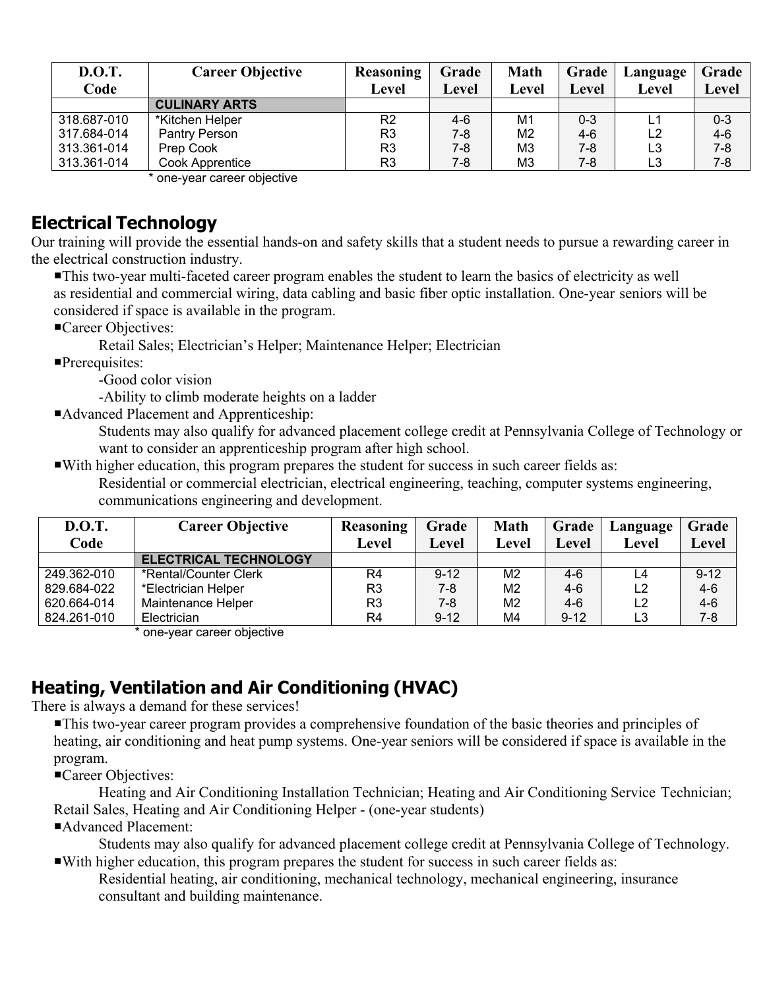| <b>D.O.T.</b> | <b>Career Objective</b>   | <b>Reasoning</b> | Grade   | <b>Math</b>    | Grade   | Language       | Grade   |
|---------------|---------------------------|------------------|---------|----------------|---------|----------------|---------|
| Code          |                           | Level            | Level   | Level          | Level   | Level          | Level   |
|               | <b>CULINARY ARTS</b>      |                  |         |                |         |                |         |
| 318.687-010   | *Kitchen Helper           | R2               | 4-6     | M1             | $0 - 3$ | L1             | $0 - 3$ |
| 317.684-014   | Pantry Person             | R <sub>3</sub>   | 7-8     | M <sub>2</sub> | $4-6$   | L <sub>2</sub> | $4 - 6$ |
| 313.361-014   | Prep Cook                 | R <sub>3</sub>   | $7-8$   | M <sub>3</sub> | $7 - 8$ | L3             | $7 - 8$ |
| 313.361-014   | Cook Apprentice           | R <sub>3</sub>   | $7 - 8$ | M <sub>3</sub> | 7-8     | L3             | $7 - 8$ |
|               | ang voor oorgar objective |                  |         |                |         |                |         |

one-year career objective

### **Electrical Technology**

Our training will provide the essential hands-on and safety skills that a student needs to pursue a rewarding career in the electrical construction industry.

This two-year multi-faceted career program enables the student to learn the basics of electricity as well as residential and commercial wiring, data cabling and basic fiber optic installation. One-year seniors will be considered if space is available in the program.

Career Objectives:

Retail Sales; Electrician's Helper; Maintenance Helper; Electrician

Prerequisites:

-Good color vision

-Ability to climb moderate heights on a ladder

Advanced Placement and Apprenticeship:

Students may also qualify for advanced placement college credit at Pennsylvania College of Technology or want to consider an apprenticeship program after high school.

With higher education, this program prepares the student for success in such career fields as:

Residential or commercial electrician, electrical engineering, teaching, computer systems engineering, communications engineering and development.

| <b>D.O.T.</b><br>Code | <b>Career Objective</b>      | <b>Reasoning</b><br>Level | Grade<br>Level | <b>Math</b><br>Level | Grade<br>Level | Language<br>Level | Grade<br>Level |
|-----------------------|------------------------------|---------------------------|----------------|----------------------|----------------|-------------------|----------------|
|                       | <b>ELECTRICAL TECHNOLOGY</b> |                           |                |                      |                |                   |                |
| 249.362-010           | *Rental/Counter Clerk        | R4                        | $9 - 12$       | M <sub>2</sub>       | $4-6$          | L4                | $9 - 12$       |
| 829.684-022           | *Electrician Helper          | R3                        | 7-8            | M <sub>2</sub>       | $4-6$          | L <sub>2</sub>    | $4-6$          |
| 620.664-014           | Maintenance Helper           | R <sub>3</sub>            | $7-8$          | M <sub>2</sub>       | $4-6$          | L <sub>2</sub>    | $4 - 6$        |
| 824.261-010           | Electrician                  | R4                        | $9 - 12$       | M4                   | $9 - 12$       | L3                | $7 - 8$        |

\* one-year career objective

# **Heating, Ventilation and Air Conditioning (HVAC)**

There is always a demand for these services!

This two-year career program provides a comprehensive foundation of the basic theories and principles of heating, air conditioning and heat pump systems. One-year seniors will be considered if space is available in the program.

Career Objectives:

 Heating and Air Conditioning Installation Technician; Heating and Air Conditioning Service Technician; Retail Sales, Heating and Air Conditioning Helper - (one-year students)

Advanced Placement:

Students may also qualify for advanced placement college credit at Pennsylvania College of Technology. With higher education, this program prepares the student for success in such career fields as:

Residential heating, air conditioning, mechanical technology, mechanical engineering, insurance consultant and building maintenance.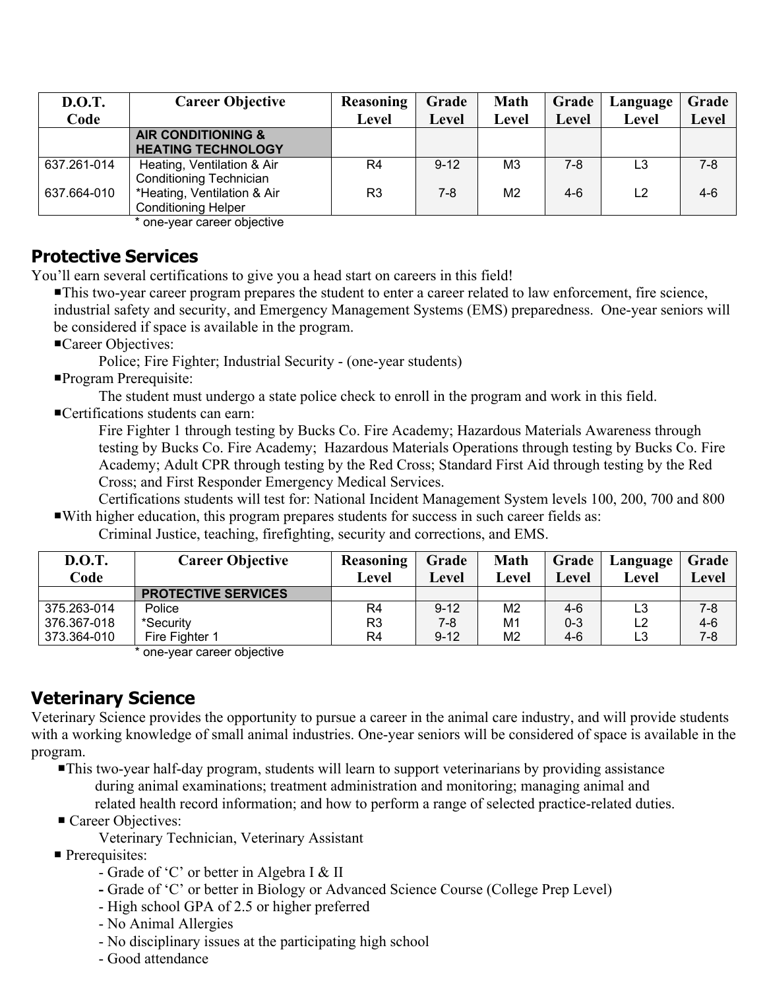| <b>D.O.T.</b> | <b>Career Objective</b>        | <b>Reasoning</b> | Grade    | <b>Math</b>    | Grade        | Language       | Grade |
|---------------|--------------------------------|------------------|----------|----------------|--------------|----------------|-------|
| Code          |                                | Level            | Level    | Level          | <b>Level</b> | Level          | Level |
|               | <b>AIR CONDITIONING &amp;</b>  |                  |          |                |              |                |       |
|               | <b>HEATING TECHNOLOGY</b>      |                  |          |                |              |                |       |
| 637.261-014   | Heating, Ventilation & Air     | R4               | $9 - 12$ | M3             | 7-8          | L3             | 7-8   |
|               | <b>Conditioning Technician</b> |                  |          |                |              |                |       |
| 637.664-010   | *Heating, Ventilation & Air    | R3               | $7-8$    | M <sub>2</sub> | 4-6          | L <sub>2</sub> | $4-6$ |
|               | <b>Conditioning Helper</b>     |                  |          |                |              |                |       |

\* one-year career objective

#### **Protective Services**

You'll earn several certifications to give you a head start on careers in this field!

This two-year career program prepares the student to enter a career related to law enforcement, fire science, industrial safety and security, and Emergency Management Systems (EMS) preparedness. One-year seniors will be considered if space is available in the program.

Career Objectives:

Police; Fire Fighter; Industrial Security - (one-year students)

Program Prerequisite:

The student must undergo a state police check to enroll in the program and work in this field.

Certifications students can earn:

Fire Fighter 1 through testing by Bucks Co. Fire Academy; Hazardous Materials Awareness through testing by Bucks Co. Fire Academy; Hazardous Materials Operations through testing by Bucks Co. Fire Academy; Adult CPR through testing by the Red Cross; Standard First Aid through testing by the Red Cross; and First Responder Emergency Medical Services.

 Certifications students will test for: National Incident Management System levels 100, 200, 700 and 800 With higher education, this program prepares students for success in such career fields as:

Criminal Justice, teaching, firefighting, security and corrections, and EMS.

| <b>D.O.T.</b> | <b>Career Objective</b>    | Reasoning      | Grade    | <b>Math</b>    | Grade   | Language | Grade   |
|---------------|----------------------------|----------------|----------|----------------|---------|----------|---------|
| Code          |                            | Level          | Level    | Level          | Level   | Level    | Level   |
|               | <b>PROTECTIVE SERVICES</b> |                |          |                |         |          |         |
| 375.263-014   | Police                     | R4             | $9 - 12$ | M <sub>2</sub> | $4-6$   | L3       | 7-8     |
| 376.367-018   | *Security                  | R <sub>3</sub> | 7-8      | M <sub>1</sub> | $0 - 3$ | L2       | $4 - 6$ |
| 373.364-010   | Fire Fighter 1             | R4             | $9 - 12$ | M <sub>2</sub> | $4-6$   | L3       | $7 - 8$ |

\* one-year career objective

### **Veterinary Science**

Veterinary Science provides the opportunity to pursue a career in the animal care industry, and will provide students with a working knowledge of small animal industries. One-year seniors will be considered of space is available in the program.

This two-year half-day program, students will learn to support veterinarians by providing assistance during animal examinations; treatment administration and monitoring; managing animal and related health record information; and how to perform a range of selected practice-related duties.

Career Objectives:

Veterinary Technician, Veterinary Assistant

- **Prerequisites:** 
	- Grade of 'C' or better in Algebra I & II
	- Grade of 'C' or better in Biology or Advanced Science Course (College Prep Level)
	- High school GPA of 2.5 or higher preferred
	- No Animal Allergies
	- No disciplinary issues at the participating high school
	- Good attendance